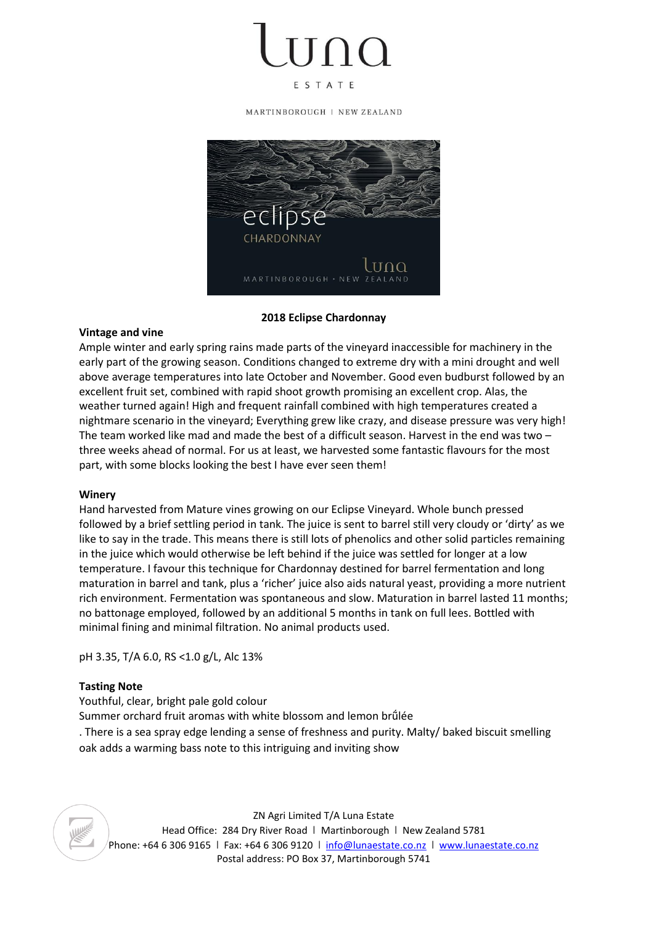ESTATE

MARTINBOROUGH | NEW ZEALAND



## **2018 Eclipse Chardonnay**

## **Vintage and vine**

Ample winter and early spring rains made parts of the vineyard inaccessible for machinery in the early part of the growing season. Conditions changed to extreme dry with a mini drought and well above average temperatures into late October and November. Good even budburst followed by an excellent fruit set, combined with rapid shoot growth promising an excellent crop. Alas, the weather turned again! High and frequent rainfall combined with high temperatures created a nightmare scenario in the vineyard; Everything grew like crazy, and disease pressure was very high! The team worked like mad and made the best of a difficult season. Harvest in the end was two – three weeks ahead of normal. For us at least, we harvested some fantastic flavours for the most part, with some blocks looking the best I have ever seen them!

## **Winery**

Hand harvested from Mature vines growing on our Eclipse Vineyard. Whole bunch pressed followed by a brief settling period in tank. The juice is sent to barrel still very cloudy or 'dirty' as we like to say in the trade. This means there is still lots of phenolics and other solid particles remaining in the juice which would otherwise be left behind if the juice was settled for longer at a low temperature. I favour this technique for Chardonnay destined for barrel fermentation and long maturation in barrel and tank, plus a 'richer' juice also aids natural yeast, providing a more nutrient rich environment. Fermentation was spontaneous and slow. Maturation in barrel lasted 11 months; no battonage employed, followed by an additional 5 months in tank on full lees. Bottled with minimal fining and minimal filtration. No animal products used.

pH 3.35, T/A 6.0, RS <1.0 g/L, Alc 13%

## **Tasting Note**

Youthful, clear, bright pale gold colour Summer orchard fruit aromas with white blossom and lemon brûlée . There is a sea spray edge lending a sense of freshness and purity. Malty/ baked biscuit smelling oak adds a warming bass note to this intriguing and inviting show

ZN Agri Limited T/A Luna Estate Head Office: 284 Dry River Road | Martinborough | New Zealand 5781 Phone: +64 6 306 9165 I Fax: +64 6 306 9120 I [info@lunaestate.co.nz](mailto:info@lunaestate.co.nz) I [www.lunaestate.co.nz](http://www.lunaestate.co.nz/) Postal address: PO Box 37, Martinborough 5741